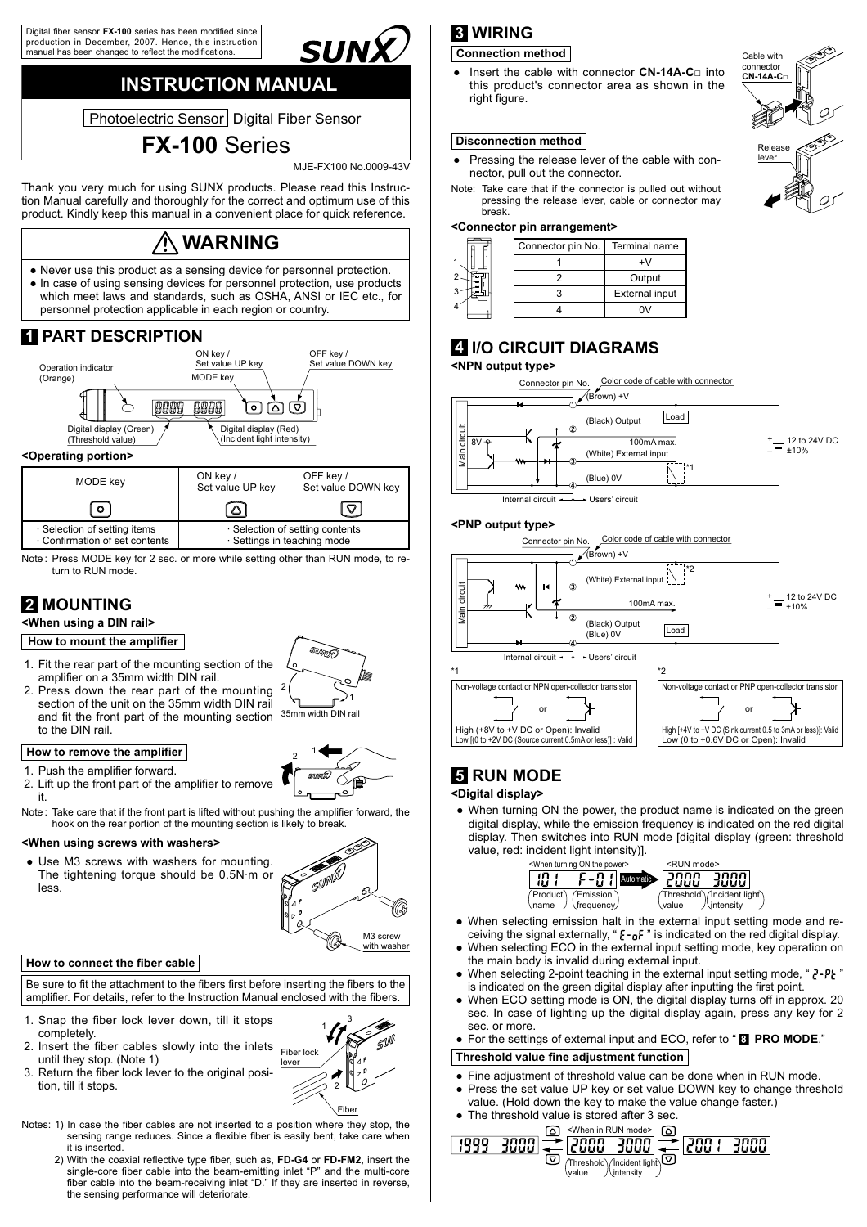Digital fiber sensor **FX-100** series has been modified since<br>production in December, 2007. Hence, this instruction .<br>manual has been changed to reflect the modifications

# **INSTRUCTION MANUAL**

 $\frac{1}{2}$  -  $\frac{1}{2}$  -  $\frac{1}{2}$  -  $\frac{1}{2}$  -  $\frac{1}{2}$  -  $\frac{1}{2}$  -  $\frac{1}{2}$  -  $\frac{1}{2}$  -  $\frac{1}{2}$  -  $\frac{1}{2}$  -  $\frac{1}{2}$  -  $\frac{1}{2}$  -  $\frac{1}{2}$  -  $\frac{1}{2}$  -  $\frac{1}{2}$  -  $\frac{1}{2}$  -  $\frac{1}{2}$  -  $\frac{1}{2}$  -  $\frac{1$ 

**FX-100** Series

UNX

MJE-FX100 No.0009-43V

Thank you very much for using SUNX products. Please read this Instruction Manual carefully and thoroughly for the correct and optimum use of this product. Kindly keep this manual in a convenient place for quick reference.

# **WARNING**

Never use this product as a sensing device for personnel protection. Ɣ • In case of using sensing devices for personnel protection, use products which meet laws and standards, such as OSHA, ANSI or IEC etc., for personnel protection applicable in each region or country.

# **1 PART DESCRIPTION**



| <b>IVIOUL INGY</b>                                           | Set value UP key            | Set value DOWN key              |
|--------------------------------------------------------------|-----------------------------|---------------------------------|
| $\circ$                                                      |                             | ▽                               |
| · Selection of setting items<br>Confirmation of set contents | · Settings in teaching mode | · Selection of setting contents |

Note : Press MODE key for 2 sec. or more while setting other than RUN mode, to return to RUN mode.

# **2 MOUNTING**

**<When using a DIN rail>**

#### **How to mount the amplifier**

- 1. Fit the rear part of the mounting section of the amplifier on a 35mm width DIN rail.
- 2. Press down the rear part of the mounting section of the unit on the 35mm width DIN rail and fit the front part of the mounting section to the DIN rail.

#### **How to remove the amplifier**

1. Push the amplifier forward.

- 2. Lift up the front part of the amplifier to remove it.
- Note: Take care that if the front part is lifted without pushing the amplifier forward, the hook on the rear portion of the mounting section is likely to break.

#### **<When using screws with washers>**

Use M3 screws with washers for mounting. Ɣ The tightening torque should be  $0.5N·m$  or less.



M3 screw with washer

16

#### **How to connect the fiber cable**

Be sure to fit the attachment to the fibers first before inserting the fibers to the amplifier. For details, refer to the Instruction Manual enclosed with the fibers.

- 1. Snap the fiber lock lever down, till it stops completely.
- 2. Insert the fiber cables slowly into the inlets until they stop. (Note 1)
- 3. Return the fiber lock lever to the original position, till it stops.



Fiber

- Notes: 1) In case the fiber cables are not inserted to a position where they stop, the sensing range reduces. Since a flexible fiber is easily bent, take care when it is inserted.
- 2) With the coaxial reflective type fiber, such as, FD-G4 or FD-FM2, insert the single-core fiber cable into the beam-emitting inlet "P" and the multi-core fiber cable into the beam-receiving inlet "D." If they are inserted in reverse, the sensing performance will deteriorate.

# **3 WIRING**

#### **Connection method** Cable with

Insert the cable with connector CN-14A-C<sub>p</sub> into this product's connector area as shown in the right figure.  $\bullet$ 

#### **Disconnection method**

- Pressing the release lever of the cable with connector, pull out the connector.  $\bullet$
- Note: Take care that if the connector is pulled out without pressing the release lever, cable or connector may break.

#### **<Connector pin arrangement>**

|   | Connector pin No. | Terminal name         |
|---|-------------------|-----------------------|
|   |                   |                       |
|   |                   | Output                |
|   |                   | <b>External input</b> |
| Δ |                   |                       |

### **4 I/O CIRCUIT DIAGRAMS**

#### **<NPN output type>**



Internal circuit - Users' circuit

#### **<PNP output type>**



### **5 RUN MODE**

#### **<Digital display>**

• When turning ON the power, the product name is indicated on the green digital display, while the emission frequency is indicated on the red digital display. Then switches into RUN mode [digital display (green: threshold value, red: incident light intensity)].



- When selecting emission halt in the external input setting mode and re-Ɣ ceiving the signal externally, " $\xi$ -<sub>Q</sub>F" is indicated on the red digital display.
- When selecting ECO in the external input setting mode, key operation on the main body is invalid during external input.  $\bullet$
- When selecting 2-point teaching in the external input setting mode, " $2-Pt$ " is indicated on the green digital display after inputting the first point.  $\bullet$
- When ECO setting mode is ON, the digital display turns off in approx. 20 sec. In case of lighting up the digital display again, press any key for 2 sec. or more.
- For the settings of external input and ECO, refer to "<sup>8</sup> PRO MODE."

#### **Threshold value fine adjustment function**

- Fine adjustment of threshold value can be done when in RUN mode. Ɣ
- Press the set value UP key or set value DOWN key to change threshold
- value. (Hold down the key to make the value change faster.)
- The threshold value is stored after 3 sec.  $\bullet$







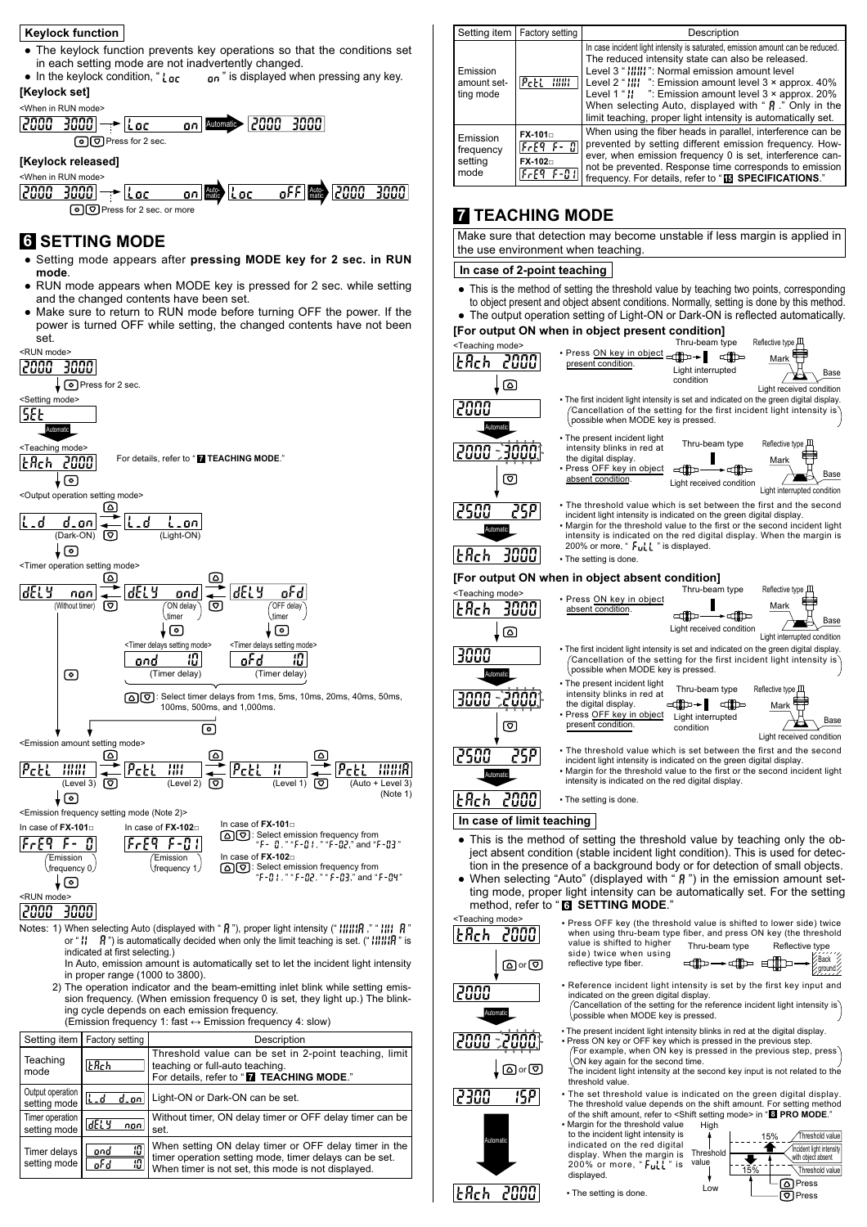#### **Keylock function**

- The keylock function prevents key operations so that the conditions set in each setting mode are not inadvertently changed.  $\bullet$
- $n^*$  is displayed when pressing any key. • In the keylock condition, "Loc **[Keylock set]**



Press for 2 sec. or more

### **6 SETTING MODE**

- Setting mode appears after pressing MODE key for 2 sec. in RUN **mode**.
- RUN mode appears when MODE key is pressed for 2 sec. while setting and the changed contents have been set.
- Make sure to return to RUN mode before turning OFF the power. If the power is turned OFF while setting, the changed contents have not been set.



sion frequency. (When emission frequency 0 is set, they light up.) The blinking cycle depends on each emission frequency. (Emission frequency 1: fast  $\leftrightarrow$  Emission frequency 4: slow)

|                                  | Setting item   Factory setting | Description                                                                                                                                                           |
|----------------------------------|--------------------------------|-----------------------------------------------------------------------------------------------------------------------------------------------------------------------|
| Teaching<br>mode                 | <b>L</b> Rch                   | Threshold value can be set in 2-point teaching, limit<br>teaching or full-auto teaching.<br>For details, refer to " <b>M</b> TEACHING MODE."                          |
| Output operation<br>setting mode | lL.d<br>d.onl                  | Light-ON or Dark-ON can be set.                                                                                                                                       |
| Timer operation<br>setting mode  | dELY<br>non                    | Without timer, ON delay timer or OFF delay timer can be<br>set.                                                                                                       |
| Timer delays<br>setting mode     | 10<br>ond<br>10<br>oF d        | When setting ON delay timer or OFF delay timer in the<br>timer operation setting mode, timer delays can be set.<br>When timer is not set, this mode is not displayed. |

|                                          | Setting item   Factory setting                                                          | Description                                                                                                                                                                                                                                                                                                                                                                                                                                                      |
|------------------------------------------|-----------------------------------------------------------------------------------------|------------------------------------------------------------------------------------------------------------------------------------------------------------------------------------------------------------------------------------------------------------------------------------------------------------------------------------------------------------------------------------------------------------------------------------------------------------------|
| Emission<br>amount set-<br>ting mode     | PctL<br>1881                                                                            | In case incident light intensity is saturated, emission amount can be reduced.<br>The reduced intensity state can also be released.<br>Level 3 " IIIII": Normal emission amount level<br>Level 2 " $\frac{11!}{1!}$ ": Emission amount level 3 x approx. 40%<br>Level 1 " $\frac{1}{2}$ ": Emission amount level 3 x approx. 20%<br>When selecting Auto, displayed with " $\beta$ ." Only in the<br>limit teaching, proper light intensity is automatically set. |
| Emission<br>frequency<br>setting<br>mode | $FX-101n$<br> FrE9 F- 0 <br>FX-102<br>$F \in \mathbb{R}^q$ , $F \in \mathbb{R}^q$ , $F$ | When using the fiber heads in parallel, interference can be<br>prevented by setting different emission frequency. How-<br>ever, when emission frequency 0 is set, interference can-<br>not be prevented. Response time corresponds to emission<br>frequency. For details, refer to "IS SPECIFICATIONS."                                                                                                                                                          |

### **7 TEACHING MODE**

Make sure that detection may become unstable if less margin is applied in the use environment when teaching.

#### In case of 2-point teaching

- This is the method of setting the threshold value by teaching two points, corresponding Ɣ to object present and object absent conditions. Normally, setting is done by this method.
- The output operation setting of Light-ON or Dark-ON is reflected automatically.

### **[For output ON when in object present condition]**



• The setting is done

**E**Rch 2000

Low

@Press<br>ரிPress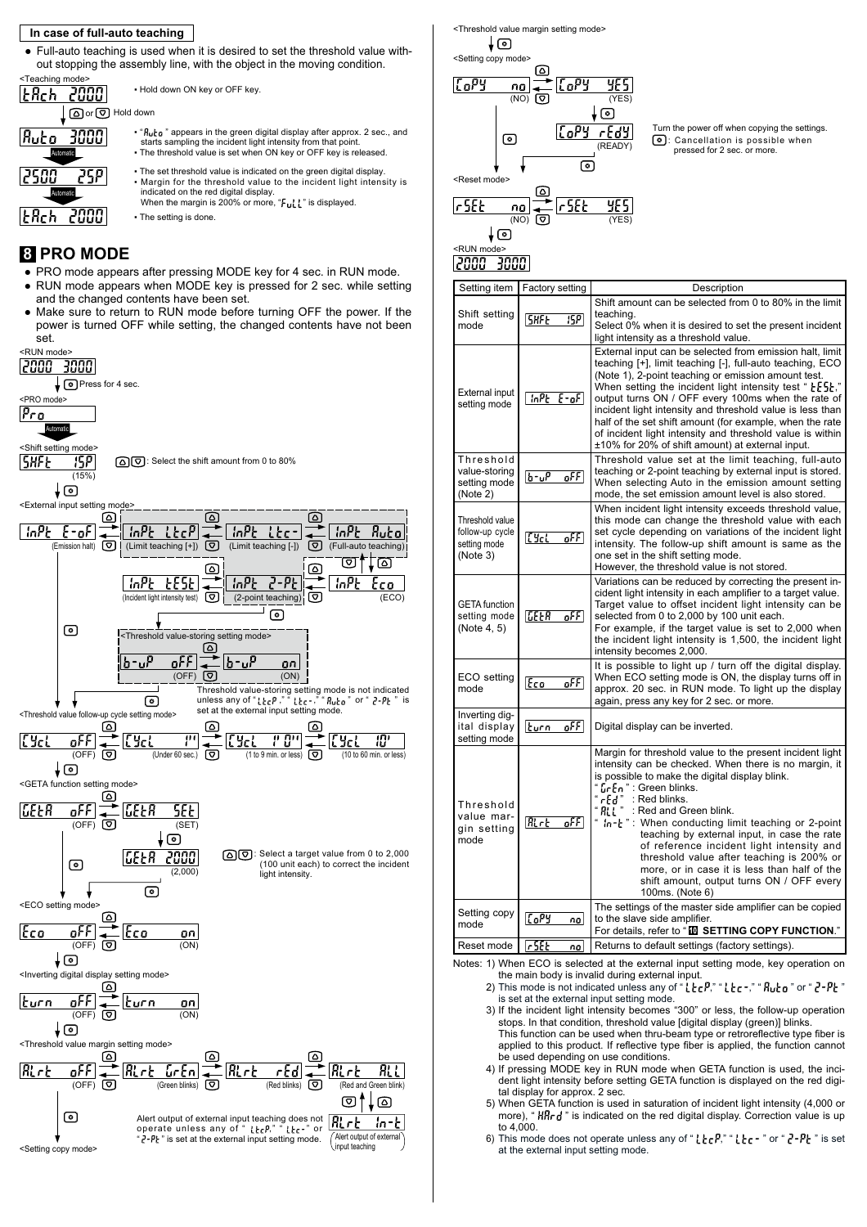#### In case of full-auto teaching

- Full-auto teaching is used when it is desired to set the threshold value with-Ɣ out stopping the assembly line, with the object in the moving condition. Teaching mode . Hold down ON key or OFF key  $H$ 2000 O or © Hold down  $R$ uto • "*Ruco*" appears in the green digital display after approx. 2 sec., and<br>starts sampling the incident light intensity from that point. • The threshold value is set when ON key or OFF key is released
	- The set threshold value is indicated on the green digital display • Margin for the threshold value to the incident light intensity is indicated on the red digital display.<br>When the margin is 200% or more, " $\mathsf{F}_\mathsf{u}\mathsf{L}'\mathsf{L}$ " is displayed.
	- The setting is done.

### **8 PRO MODE**

Automatic

JEAA

 $|t$ Rch $|$ 

Automatic

258

2000

- PRO mode appears after pressing MODE key for 4 sec. in RUN mode.
- RUN mode appears when MODE key is pressed for 2 sec. while setting and the changed contents have been set.
- Make sure to return to RUN mode before turning OFF the power. If the power is turned OFF while setting, the changed contents have not been set.





 $\begin{array}{cc}\n\mathbf{r} & \mathbf{f} & \mathbf{f} \\
\hline\n\mathbf{f} & \mathbf{f} \\
\hline\n\mathbf{f} & \mathbf{f} \\
\hline\n\mathbf{f} & \mathbf{f} \\
\hline\n\mathbf{f} & \mathbf{f} \\
\hline\n\mathbf{f} & \mathbf{f} \\
\hline\n\mathbf{f} & \mathbf{f} \\
\hline\n\mathbf{f} & \mathbf{f} \\
\hline\n\mathbf{f} & \mathbf{f} \\
\hline\n\mathbf{f} & \mathbf{f} \\
\hline\n\mathbf{f} & \mathbf{f} \\
\hline\n\mathbf{f} &$ pressed for 2 sec. or more. Turn the power off when copying the settings.

| Setting item                                                   | <b>Factory setting</b> | Description                                                                                                                                                                                                                                                                                                                                                                                                                                                                                                                                                                             |
|----------------------------------------------------------------|------------------------|-----------------------------------------------------------------------------------------------------------------------------------------------------------------------------------------------------------------------------------------------------------------------------------------------------------------------------------------------------------------------------------------------------------------------------------------------------------------------------------------------------------------------------------------------------------------------------------------|
| Shift setting<br>mode                                          | 15HF E<br>15PI         | Shift amount can be selected from 0 to 80% in the limit<br>teaching.<br>Select 0% when it is desired to set the present incident<br>light intensity as a threshold value.                                                                                                                                                                                                                                                                                                                                                                                                               |
| External input<br>setting mode                                 | InPE E-oF              | External input can be selected from emission halt, limit<br>teaching [+], limit teaching [-], full-auto teaching, ECO<br>(Note 1), 2-point teaching or emission amount test.<br>When setting the incident light intensity test " $E5E$ ,"<br>output turns ON / OFF every 100ms when the rate of<br>incident light intensity and threshold value is less than<br>half of the set shift amount (for example, when the rate<br>of incident light intensity and threshold value is within<br>±10% for 20% of shift amount) at external input.                                               |
| Threshold<br>value-storing<br>setting mode<br>(Note 2)         | $b - \mu^p$<br>oFFI    | Threshold value set at the limit teaching, full-auto<br>teaching or 2-point teaching by external input is stored.<br>When selecting Auto in the emission amount setting<br>mode, the set emission amount level is also stored.                                                                                                                                                                                                                                                                                                                                                          |
| Threshold value<br>follow-up cycle<br>setting mode<br>(Note 3) | lCYcL –<br>-oFF I      | When incident light intensity exceeds threshold value,<br>this mode can change the threshold value with each<br>set cycle depending on variations of the incident light<br>intensity. The follow-up shift amount is same as the<br>one set in the shift setting mode.<br>However, the threshold value is not stored.                                                                                                                                                                                                                                                                    |
| <b>GETA</b> function<br>setting mode<br>(Note 4, 5)            | LEER<br>$o$ FF         | Variations can be reduced by correcting the present in-<br>cident light intensity in each amplifier to a target value.<br>Target value to offset incident light intensity can be<br>selected from 0 to 2,000 by 100 unit each.<br>For example, if the target value is set to 2,000 when<br>the incident light intensity is 1,500, the incident light<br>intensity becomes 2,000.                                                                                                                                                                                                        |
| ECO setting<br>mode                                            | oFFI<br> Eco -         | It is possible to light up / turn off the digital display.<br>When ECO setting mode is ON, the display turns off in<br>approx. 20 sec. in RUN mode. To light up the display<br>again, press any key for 2 sec. or more.                                                                                                                                                                                                                                                                                                                                                                 |
| Inverting dig-<br>ital display<br>setting mode                 | turn -<br>oFFI         | Digital display can be inverted.                                                                                                                                                                                                                                                                                                                                                                                                                                                                                                                                                        |
| Threshold<br>value mar-<br>gin setting<br>mode                 | Rrt<br>oFFI            | Margin for threshold value to the present incident light<br>intensity can be checked. When there is no margin, it<br>is possible to make the digital display blink.<br>Lr En " : Green blinks.<br>$"$ r $\xi$ d" : Red blinks.<br>$"$ ALL $"$<br>: Red and Green blink.<br>" In-t": When conducting limit teaching or 2-point<br>teaching by external input, in case the rate<br>of reference incident light intensity and<br>threshold value after teaching is 200% or<br>more, or in case it is less than half of the<br>shift amount, output turns ON / OFF every<br>100ms. (Note 6) |
| Setting copy<br>mode                                           | $\sqrt{6P}$<br>nal     | The settings of the master side amplifier can be copied<br>to the slave side amplifier.<br>For details, refer to "I SETTING COPY FUNCTION."                                                                                                                                                                                                                                                                                                                                                                                                                                             |
| Reset mode                                                     | , set<br>nal           | Returns to default settings (factory settings).                                                                                                                                                                                                                                                                                                                                                                                                                                                                                                                                         |

- Notes: 1) When ECO is selected at the external input setting mode, key operation on the main body is invalid during external input.
	- 2) This mode is not indicated unless any of "  $E_{\rm C}P$ ," "  $E_{\rm C}$  -" "  $R_{\rm u}L_{\rm D}$ " or "  $Z$ - $P$  $L$ " is set at the external input setting mode.
	- 3) If the incident light intensity becomes "300" or less, the follow-up operation stops. In that condition, threshold value [digital display (green)] blinks. This function can be used when thru-beam type or retroreflective type fiber is
	- applied to this product. If reflective type fiber is applied, the function cannot be used depending on use conditions. 4) If pressing MODE key in RUN mode when GETA function is used, the inci-
	- dent light intensity before setting GETA function is displayed on the red digident light tal display for approx. 2 sec.
	- 5) When GETA function is used in saturation of incident light intensity (4,000 or more), "HHr d" is indicated on the red digital display. Correction value is up to 4,000.
	- 6) This mode does not operate unless any of " $l$  $l$  $l$  $r$  $P$ ," " $l$  $l$  $r$  $r$ " or " $l$  $l$  $r$  $l$  $l$  $r$ " is set at the external input setting mode.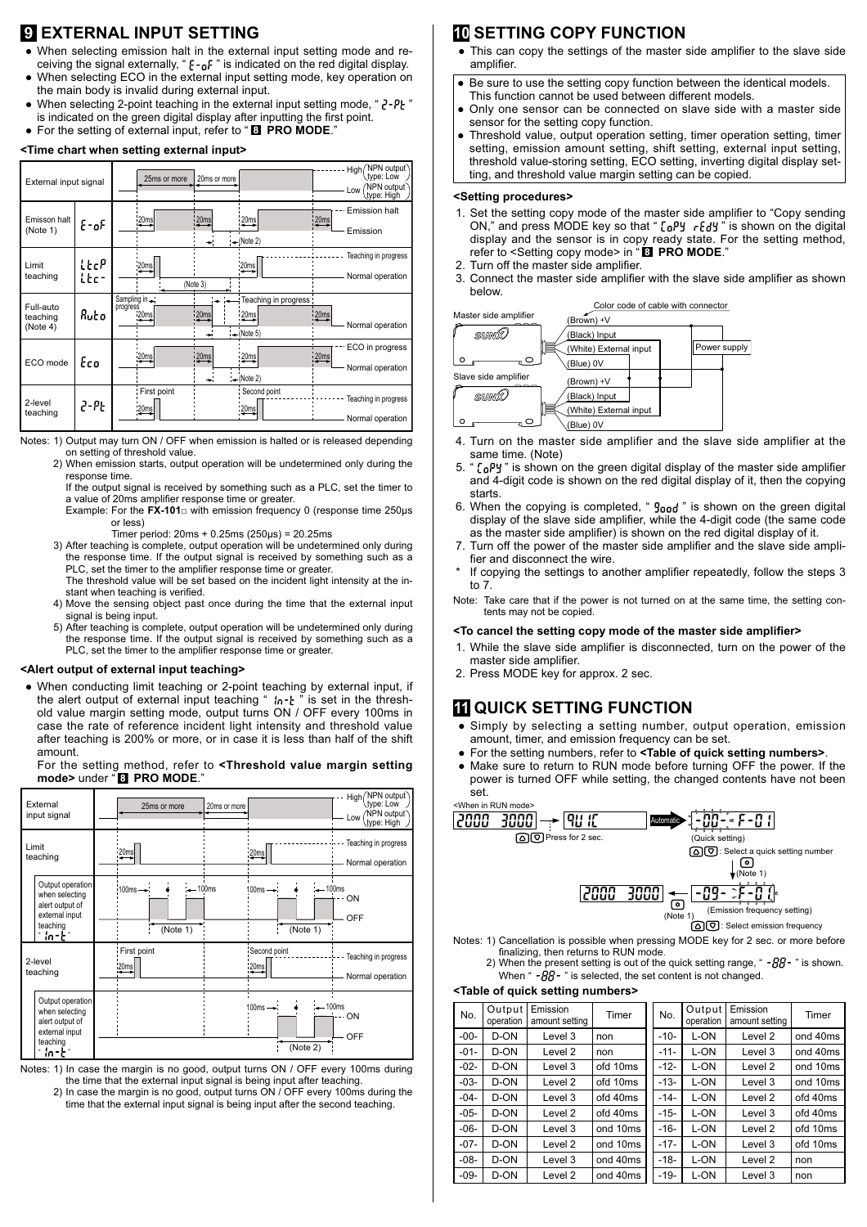## **9 EXTERNAL INPUT SETTING**

- When selecting emission halt in the external input setting mode and re-Ɣ ceiving the signal externally, " $\xi$  -  $_0$  F" is indicated on the red digital display.
- When selecting ECO in the external input setting mode, key operation on the main body is invalid during external input.  $\bullet$
- When selecting 2-point teaching in the external input setting mode, "  $2$ - $P$  $\zeta$  " is indicated on the green digital display after inputting the first point. ● For the setting of external input, refer to "B PRO MODE."

#### <Time chart when setting external input>

| External input signal             |               | 25ms or more                    | 20ms or more                                                                 |                  | NPN output<br>High<br>type: Low<br>NPN output<br>Low<br>type: High / |
|-----------------------------------|---------------|---------------------------------|------------------------------------------------------------------------------|------------------|----------------------------------------------------------------------|
| Emisson halt<br>(Note 1)          | E-oF          | 20ms                            | $\frac{20ms}{2}$<br>20ms<br>$\rightarrow$ (Note 2)                           | 20ms             | <b>Emission halt</b><br>Emission                                     |
| Limit<br>teaching                 | ltcP<br>l Ec- | 20ms                            | 20ms<br>(Note 3)                                                             |                  | Teaching in progress<br>Normal operation                             |
| Full-auto<br>teaching<br>(Note 4) | Auto          | Sampling in<br>progress<br>20ms | Teaching in progress :<br>20 <sub>ms</sub><br>20ms<br>$\rightarrow$ (Note 5) | 20 <sub>ms</sub> | Normal operation                                                     |
| ECO mode                          | Eco           | 20ms                            | 20ms<br>(20ms)<br>$(-$ (Note 2)                                              | 20ms             | ECO in progress<br>Normal operation                                  |
| 2-level<br>teaching               | 2-PE          | First point<br>:20ms            | Second point<br>:20ms                                                        |                  | Teaching in progress<br>Normal operation                             |

Notes: 1) Output may turn ON / OFF when emission is halted or is released depending on setting of threshold value.

 2) When emission starts, output operation will be undetermined only during the response time.

 If the output signal is received by something such as a PLC, set the timer to a value of 20ms amplifier response time or greater.

Example: For the  $FX-101\Box$  with emission frequency 0 (response time 250 $\mu$ s or less)

- Timer period:  $20ms + 0.25ms$  ( $250\mu s$ ) =  $20.25ms$
- 3) After teaching is complete, output operation will be undetermined only during the response time. If the output signal is received by something such as a PLC, set the timer to the amplifier response time or greater.
	- The threshold value will be set based on the incident light intensity at the instant when teaching is verified.
- 4) Move the sensing object past once during the time that the external input signal is being input.
- 5) After teaching is complete, output operation will be undetermined only during the response time. If the output signal is received by something such as a PLC, set the timer to the amplifier response time or greater.

#### **<Alert output of external input teaching>**

• When conducting limit teaching or 2-point teaching by external input, if the alert output of external input teaching "  $\eta_0$ - $\mu$ " is set in the threshold value margin setting mode, output turns ON / OFF every 100ms in case the rate of reference incident light intensity and threshold value after teaching is 200% or more, or in case it is less than half of the shift amount.

 For the setting method, refer to **<Threshold value margin setting mode>** under " **PRO MODE**."

| External<br>input signal                                                                       | 25ms or more<br>20ms or more                                                         | High (NPN output)<br>type: Low<br>NPN output<br>Low<br>type: High |
|------------------------------------------------------------------------------------------------|--------------------------------------------------------------------------------------|-------------------------------------------------------------------|
| Limit<br>teaching                                                                              | 20ms<br>20ms                                                                         | Teaching in progress<br>Normal operation                          |
| Output operation<br>when selecting<br>alert output of<br>external input<br>teaching<br>" in-E" | $-100$ ms<br>$100ms \rightarrow$<br>$-100$ ms<br>$100ms - 1$<br>(Note 1)<br>(Note 1) | - ON<br>OFF                                                       |
| 2-level<br>teaching                                                                            | First point<br>Second point<br>:20ms<br>20ms                                         | Teaching in progress<br>Normal operation                          |
| Output operation<br>when selecting<br>alert output of<br>external input<br>teaching<br>" in-t" | $-100$ ms<br>$100ms \rightarrow$<br>(Note 2)                                         | ON<br>OFF                                                         |

Notes: 1) In case the margin is no good, output turns ON / OFF every 100ms during the time that the external input signal is being input after teaching.

2) In case the margin is no good, output turns ON / OFF every 100ms during the time that the external input signal is being input after the second teaching.

### **10 SETTING COPY FUNCTION**

- This can copy the settings of the master side amplifier to the slave side amplifier.
- Be sure to use the setting copy function between the identical models. This function cannot be used between different models.  $\bullet$
- Only one sensor can be connected on slave side with a master side sensor for the setting copy function.  $\bullet$
- Threshold value, output operation setting, timer operation setting, timer setting, emission amount setting, shift setting, external input setting, threshold value-storing setting, ECO setting, inverting digital display setting, and threshold value margin setting can be copied.  $\bullet$

#### **<Setting procedures>**

- 1. Set the setting copy mode of the master side amplifier to "Copy sending ON," and press MODE key so that "  $\lceil_0$ Py r $\lceil_0$ y" is shown on the digital display and the sensor is in copy ready state. For the setting method, refer to <Setting copy mode> in "**BI PRO MODE.**"
- 2. Turn off the master side amplifier.<br>3. Connect the master side amplifier.
- Connect the master side amplifier with the slave side amplifier as shown below.



- 4. Turn on the master side amplifier and the slave side amplifier at the same time. (Note)
- 5. " $\sqrt{L_0}$ y" is shown on the green digital display of the master side amplifier and 4-digit code is shown on the red digital display of it, then the copying starts.
- When the copying is completed, "  $g_{\text{and}}$  " is shown on the green digital display of the slave side amplifier, while the 4-digit code (the same code as the master side amplifier) is shown on the red digital display of it.
- Turn off the power of the master side amplifier and the slave side amplifier and disconnect the wire.
- If copying the settings to another amplifier repeatedly, follow the steps 3 to 7.

Note: Take care that if the power is not turned on at the same time, the setting contents may not be copied.

#### <To cancel the setting copy mode of the master side amplifier>

- 1. While the slave side amplifier is disconnected, turn on the power of the master side amplifier.
- 2. Press MODE key for approx. 2 sec.

### **11 QUICK SETTING FUNCTION**

- Simply by selecting a setting number, output operation, emission amount, timer, and emission frequency can be set.
- For the setting numbers, refer to **<Table of quick setting numbers>**.  $\bullet$
- Make sure to return to RUN mode before turning OFF the power. If the power is turned OFF while setting, the changed contents have not been set.  $\bullet$



Notes: 1) Cancellation is possible when pressing MODE key for 2 sec. or more before finalizing, then returns to RUN mode.<br>2) When the present setting is out of the quick setting range, " *-BB* - " is shown.

When " $-BB -$ " is selected, the set content is not changed.

#### **<Table of quick setting numbers>**

| No.    | Output<br>operation | Emission<br>amount setting | Timer    | No.    | Output<br>operation | Emission<br>amount setting | Timer    |
|--------|---------------------|----------------------------|----------|--------|---------------------|----------------------------|----------|
| $-00-$ | D-ON                | Level 3                    | non      | $-10-$ | L-ON                | Level 2                    | ond 40ms |
| $-01-$ | D-ON                | Level 2                    | non      | $-11-$ | L-ON                | Level 3                    | ond 40ms |
| $-02-$ | D-ON                | Level 3                    | ofd 10ms | $-12-$ | L-ON                | Level 2                    | ond 10ms |
| $-03-$ | D-ON                | Level 2                    | ofd 10ms | $-13-$ | L-ON                | Level 3                    | ond 10ms |
| $-04-$ | D-ON                | Level 3                    | ofd 40ms | $-14-$ | L-ON                | Level 2                    | ofd 40ms |
| $-05-$ | D-ON                | Level 2                    | ofd 40ms | $-15-$ | L-ON                | Level 3                    | ofd 40ms |
| $-06-$ | D-ON                | Level 3                    | ond 10ms | $-16-$ | L-ON                | Level 2                    | ofd 10ms |
| $-07-$ | D-ON                | Level 2                    | ond 10ms | $-17-$ | L-ON                | Level 3                    | ofd 10ms |
| $-08-$ | D-ON                | Level 3                    | ond 40ms | $-18-$ | L-ON                | Level 2                    | non      |
| $-09-$ | D-ON                | Level 2                    | ond 40ms | $-19-$ | L-ON                | Level 3                    | non      |